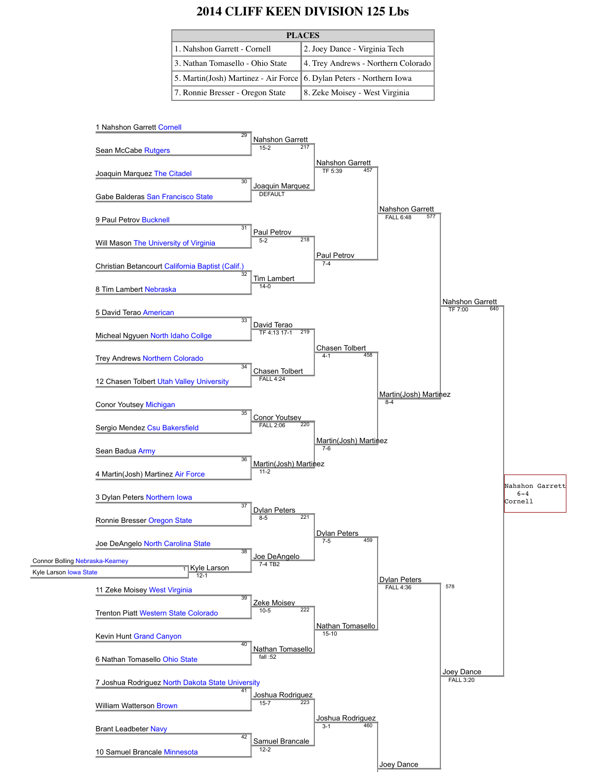# **2014 CLIFF KEEN DIVISION 125 Lbs**

| <b>PLACES</b>                                                        |                                     |
|----------------------------------------------------------------------|-------------------------------------|
| 1. Nahshon Garrett - Cornell                                         | 2. Joey Dance - Virginia Tech       |
| 3. Nathan Tomasello - Ohio State                                     | 4. Trey Andrews - Northern Colorado |
| 5. Martin(Josh) Martinez - Air Force 6. Dylan Peters - Northern Iowa |                                     |
| 7. Ronnie Bresser - Oregon State                                     | 8. Zeke Moisey - West Virginia      |

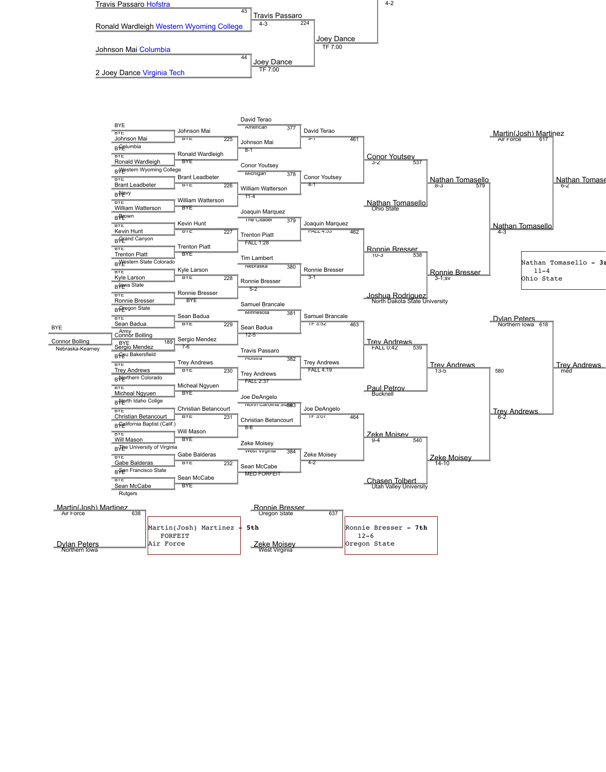

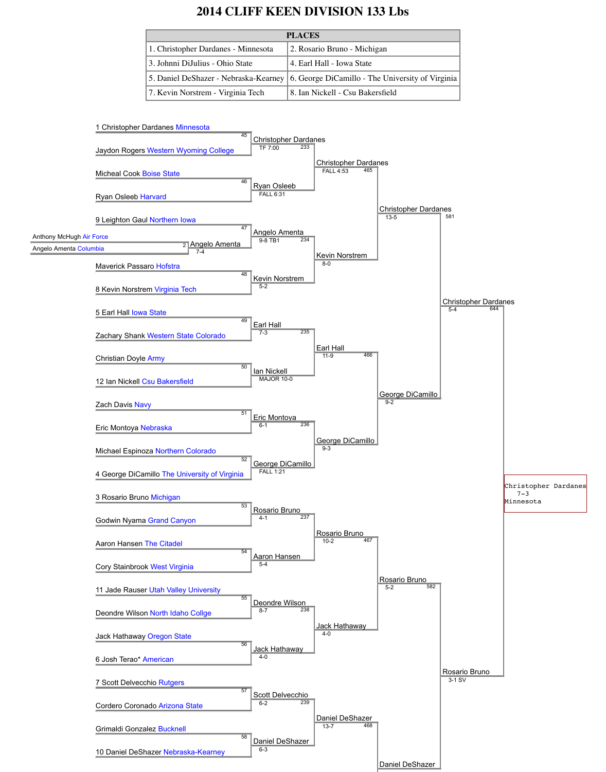# **2014 CLIFF KEEN DIVISION 133 Lbs**

| <b>PLACES</b>                         |                                                  |
|---------------------------------------|--------------------------------------------------|
| 1. Christopher Dardanes - Minnesota   | 2. Rosario Bruno - Michigan                      |
| 3. Johnni DiJulius - Ohio State       | 4. Earl Hall - Iowa State                        |
| 5. Daniel DeShazer - Nebraska-Kearney | 6. George DiCamillo - The University of Virginia |
| 7. Kevin Norstrem - Virginia Tech     | 8. Ian Nickell - Csu Bakersfield                 |

#### 1 Christopher Dardanes Minnesota

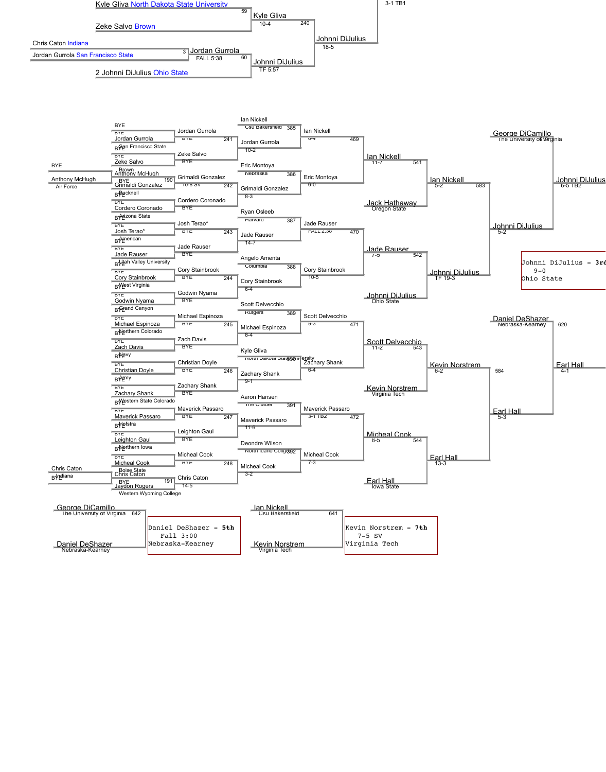Chris Caton



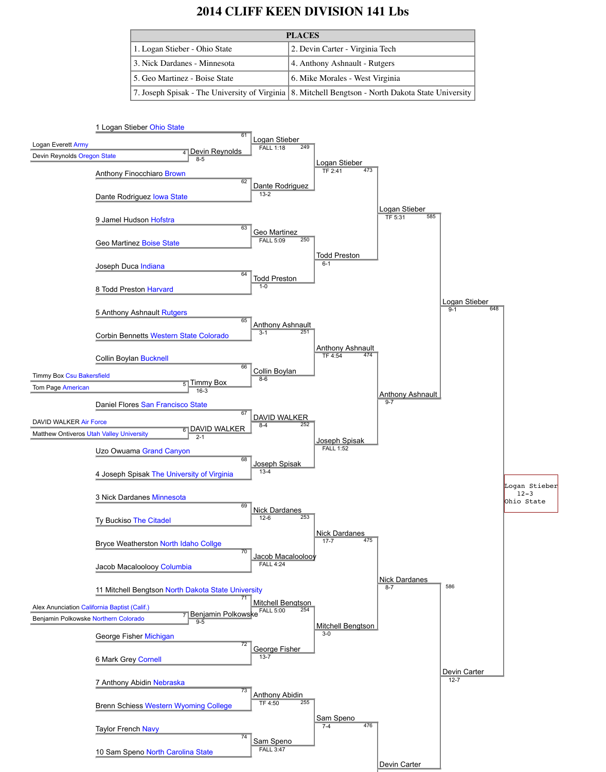# **2014 CLIFF KEEN DIVISION 141 Lbs**

| <b>PLACES</b>                 |                                                                                                      |
|-------------------------------|------------------------------------------------------------------------------------------------------|
| 1. Logan Stieber - Ohio State | 2. Devin Carter - Virginia Tech                                                                      |
| 3. Nick Dardanes - Minnesota  | 4. Anthony Ashnault - Rutgers                                                                        |
| 5. Geo Martinez - Boise State | 6. Mike Morales - West Virginia                                                                      |
|                               | 7. Joseph Spisak - The University of Virginia   8. Mitchell Bengtson - North Dakota State University |

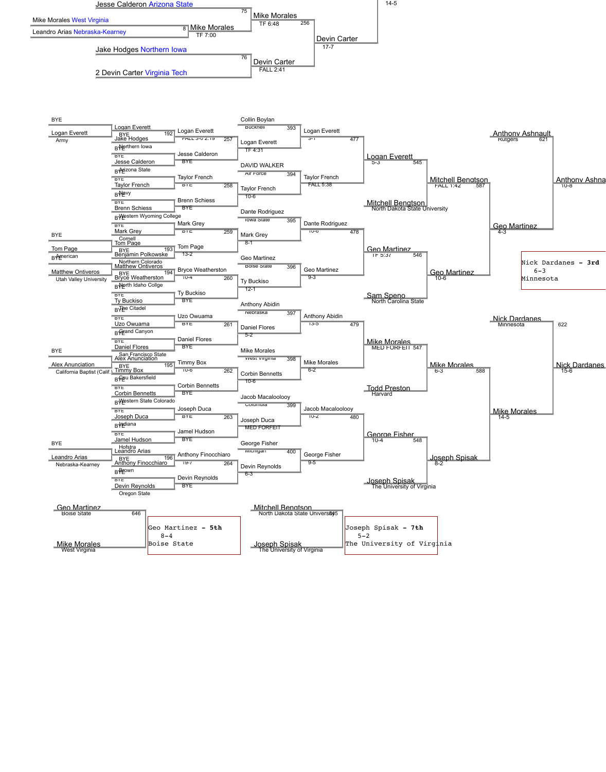

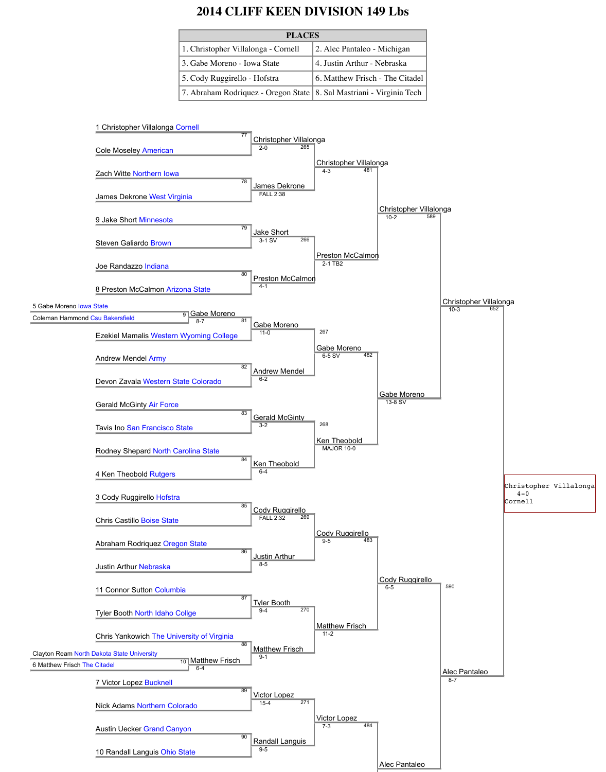### **2014 CLIFF KEEN DIVISION 149 Lbs**

| <b>PLACES</b>                                                          |                                 |
|------------------------------------------------------------------------|---------------------------------|
| 1. Christopher Villalonga - Cornell                                    | 2. Alec Pantaleo - Michigan     |
| 3. Gabe Moreno - Iowa State                                            | 4. Justin Arthur - Nebraska     |
| 5. Cody Ruggirello - Hofstra                                           | 6. Matthew Frisch - The Citadel |
| 7. Abraham Rodriquez - Oregon State   8. Sal Mastriani - Virginia Tech |                                 |

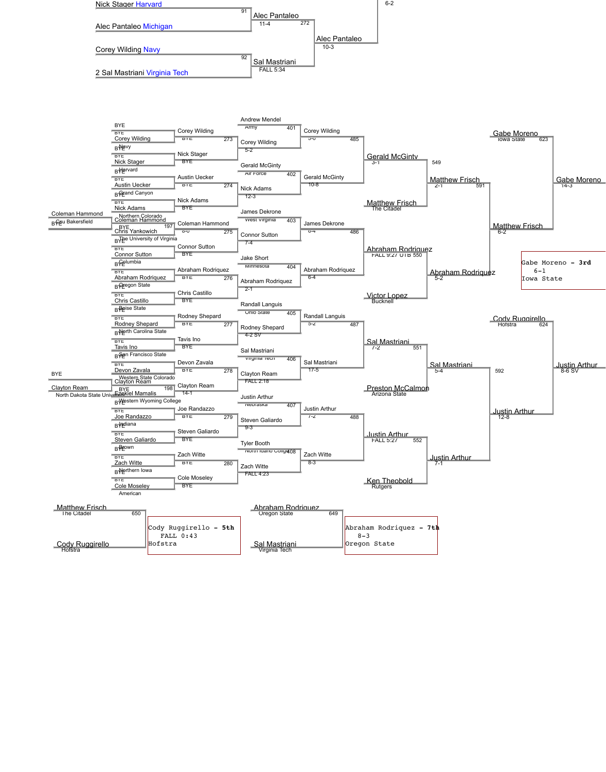

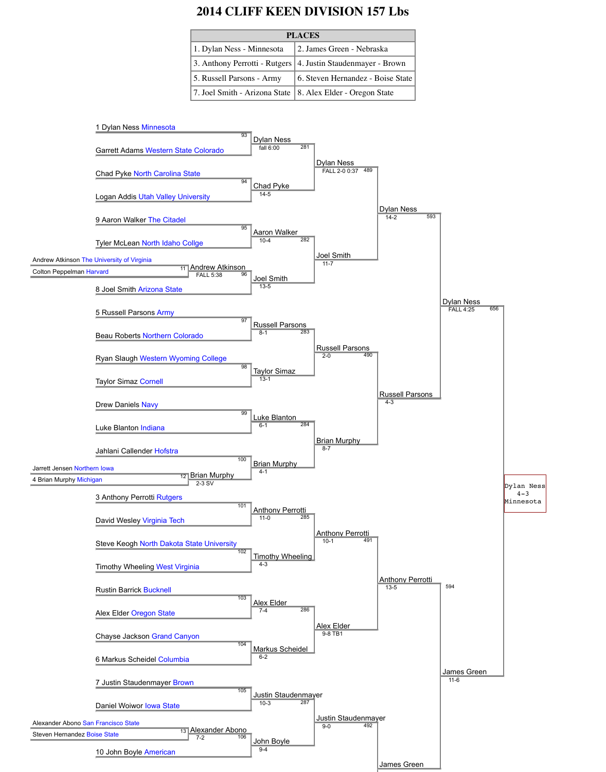#### **2014 CLIFF KEEN DIVISION 157 Lbs**

| <b>PLACES</b>                 |                                   |
|-------------------------------|-----------------------------------|
| 1. Dylan Ness - Minnesota     | 2. James Green - Nebraska         |
| 3. Anthony Perrotti - Rutgers | 4. Justin Staudenmayer - Brown    |
| 5. Russell Parsons - Army     | 6. Steven Hernandez - Boise State |
| 7. Joel Smith - Arizona State | 8. Alex Elder - Oregon State      |

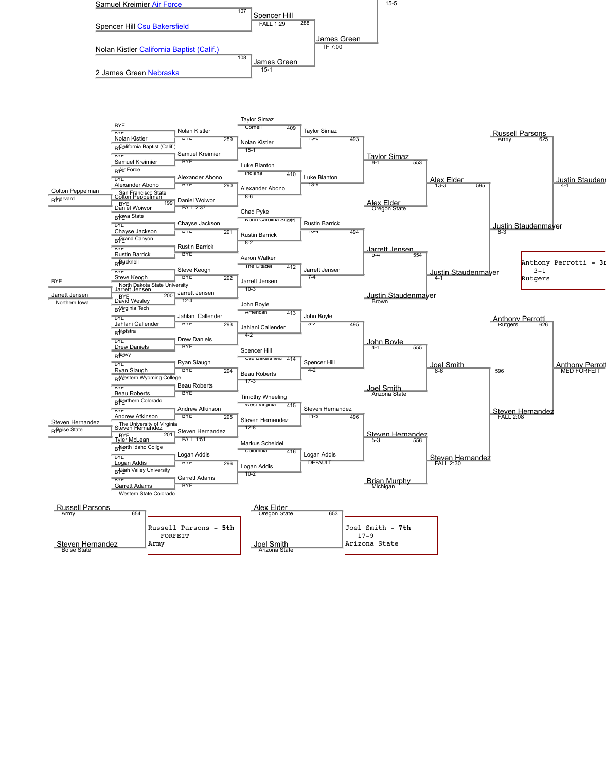

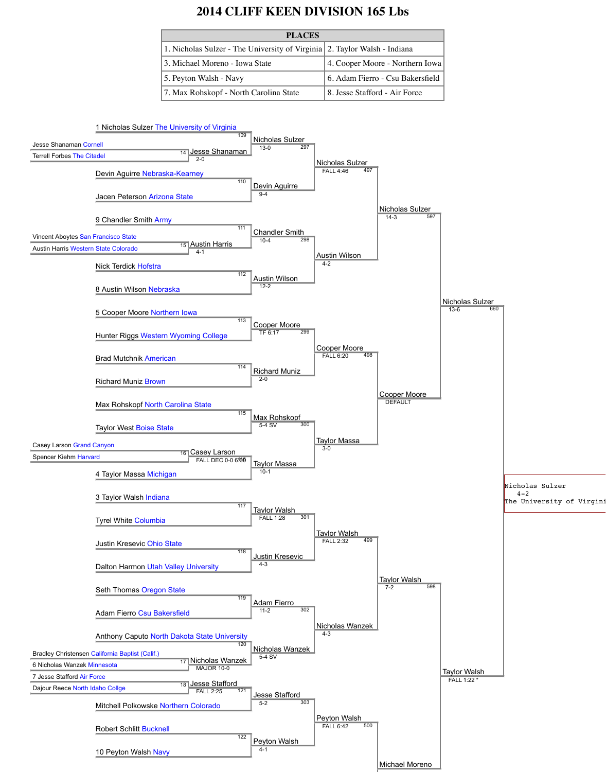# **2014 CLIFF KEEN DIVISION 165 Lbs**

| <b>PLACES</b>                                                             |                                  |  |
|---------------------------------------------------------------------------|----------------------------------|--|
| 1. Nicholas Sulzer - The University of Virginia 2. Taylor Walsh - Indiana |                                  |  |
| 3. Michael Moreno - Iowa State                                            | 4. Cooper Moore - Northern Iowa  |  |
| 5. Peyton Walsh - Navy                                                    | 6. Adam Fierro - Csu Bakersfield |  |
| 7. Max Rohskopf - North Carolina State                                    | 8. Jesse Stafford - Air Force    |  |



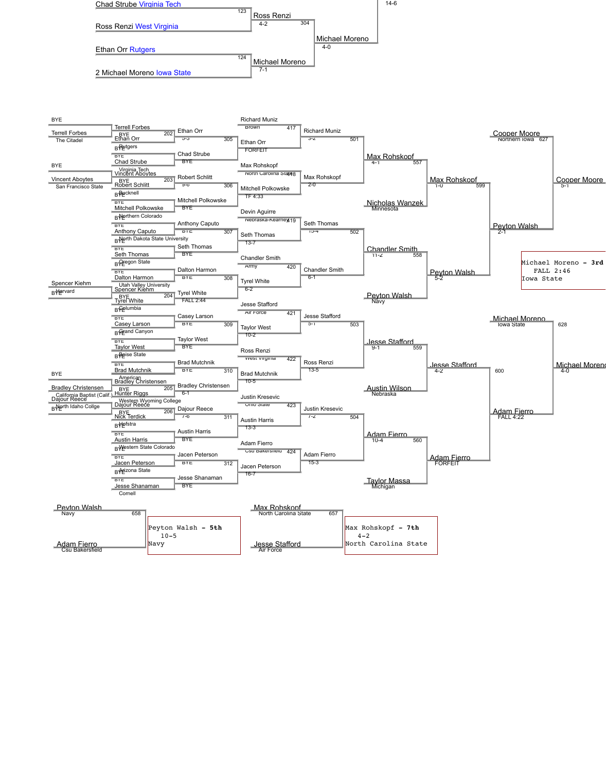

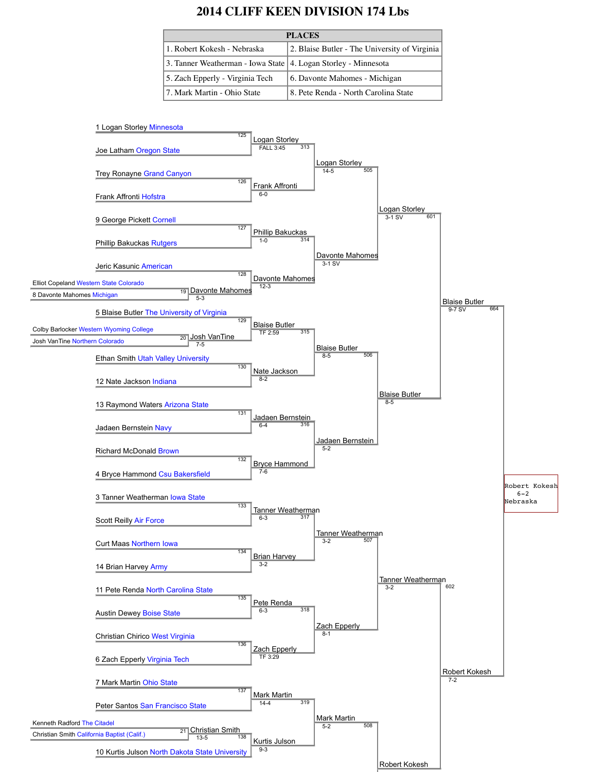# **2014 CLIFF KEEN DIVISION 174 Lbs**

| <b>PLACES</b>                                                    |                                               |
|------------------------------------------------------------------|-----------------------------------------------|
| 1. Robert Kokesh - Nebraska                                      | 2. Blaise Butler - The University of Virginia |
| 3. Tanner Weatherman - Iowa State   4. Logan Storley - Minnesota |                                               |
| 5. Zach Epperly - Virginia Tech                                  | 6. Davonte Mahomes - Michigan                 |
| 7. Mark Martin - Ohio State                                      | 8. Pete Renda - North Carolina State          |

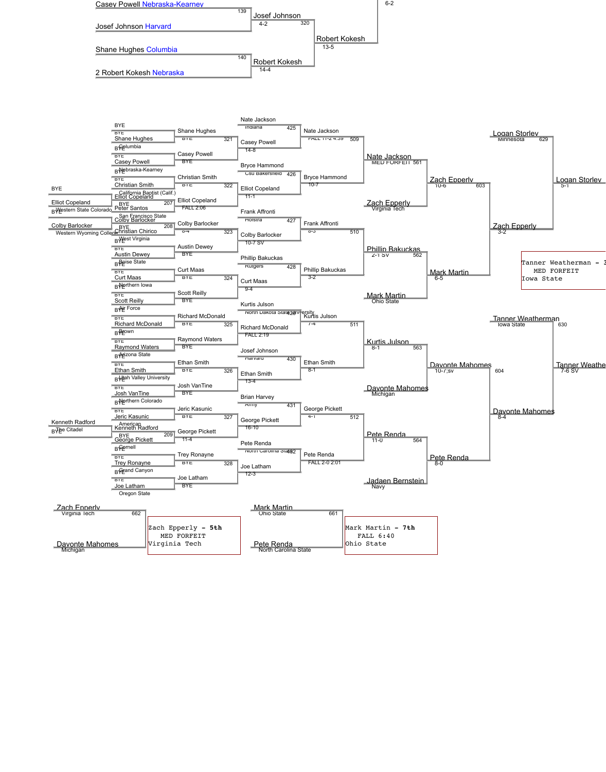

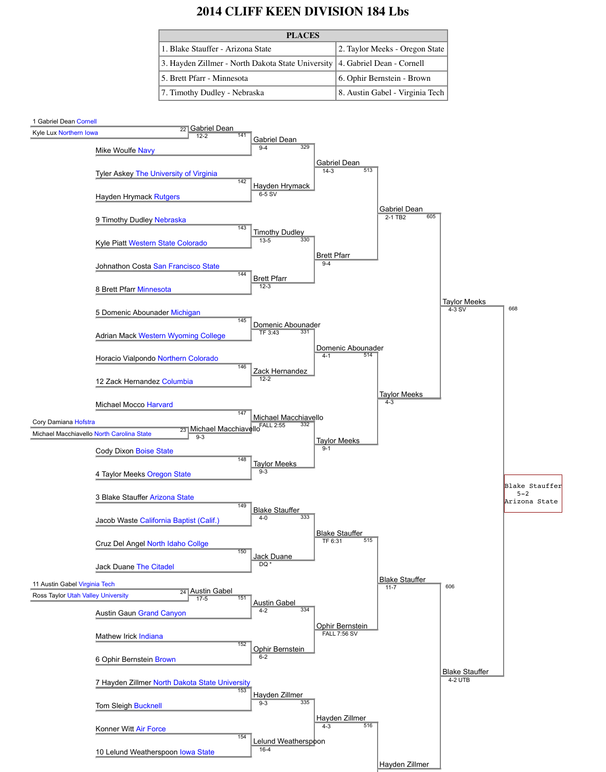# **2014 CLIFF KEEN DIVISION 184 Lbs**

| <b>PLACES</b>                                                                 |                                 |
|-------------------------------------------------------------------------------|---------------------------------|
| 1. Blake Stauffer - Arizona State                                             | 2. Taylor Meeks - Oregon State  |
| 3. Hayden Zillmer - North Dakota State University   4. Gabriel Dean - Cornell |                                 |
| 5. Brett Pfarr - Minnesota                                                    | 6. Ophir Bernstein - Brown      |
| 7. Timothy Dudley - Nebraska                                                  | 8. Austin Gabel - Virginia Tech |

#### 1 Gabriel Dean Cornell

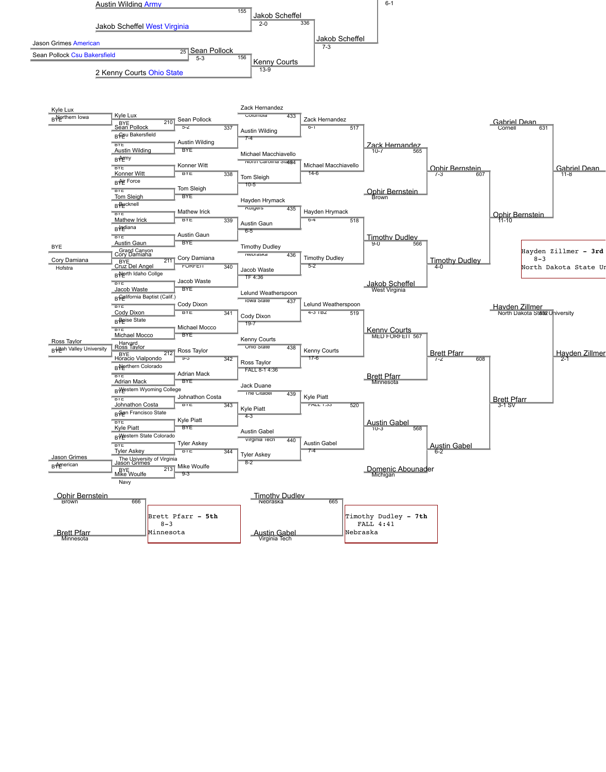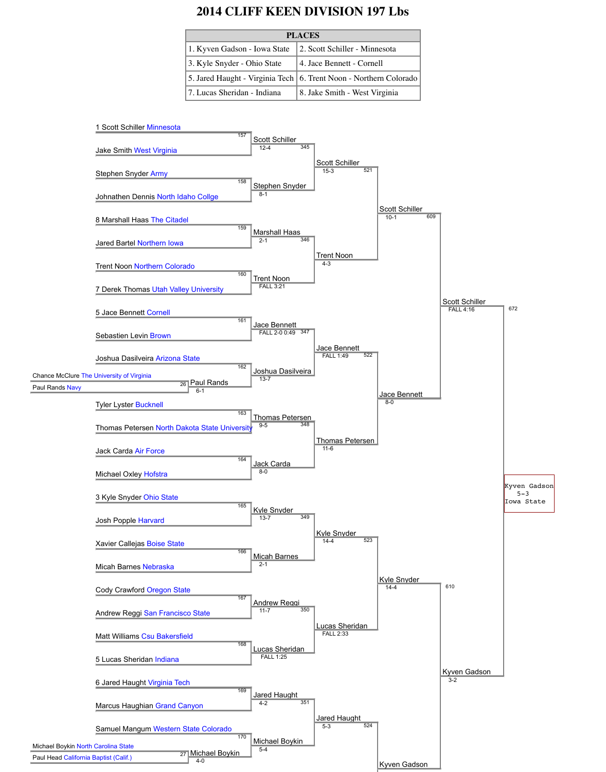### **2014 CLIFF KEEN DIVISION 197 Lbs**

| <b>PLACES</b>                |                                                                     |
|------------------------------|---------------------------------------------------------------------|
| 1. Kyven Gadson - Iowa State | 2. Scott Schiller - Minnesota                                       |
| 3. Kyle Snyder - Ohio State  | 4. Jace Bennett - Cornell                                           |
|                              | 5. Jared Haught - Virginia Tech   6. Trent Noon - Northern Colorado |
| 7. Lucas Sheridan - Indiana  | 8. Jake Smith - West Virginia                                       |

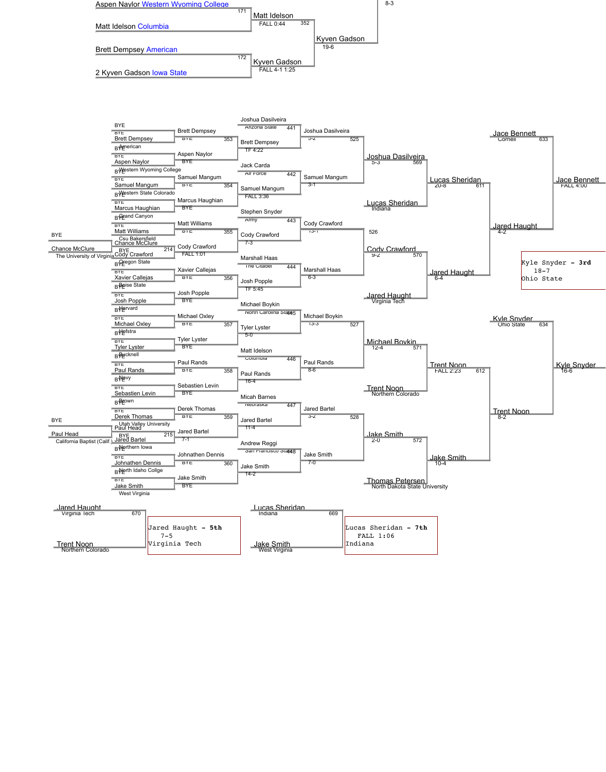

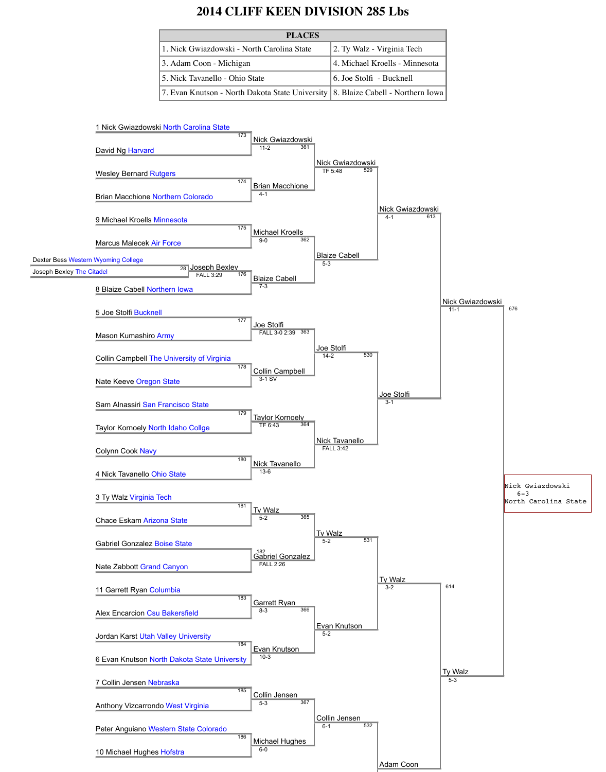# **2014 CLIFF KEEN DIVISION 285 Lbs**

| <b>PLACES</b>                                                                      |                                |
|------------------------------------------------------------------------------------|--------------------------------|
| 1. Nick Gwiazdowski - North Carolina State                                         | 2. Ty Walz - Virginia Tech     |
| 3. Adam Coon - Michigan                                                            | 4. Michael Kroells - Minnesota |
| 5. Nick Tavanello - Ohio State                                                     | 6. Joe Stolfi - Bucknell       |
| 7. Evan Knutson - North Dakota State University   8. Blaize Cabell - Northern Iowa |                                |

#### 1 Nick Gwiazdowski North Carolina State